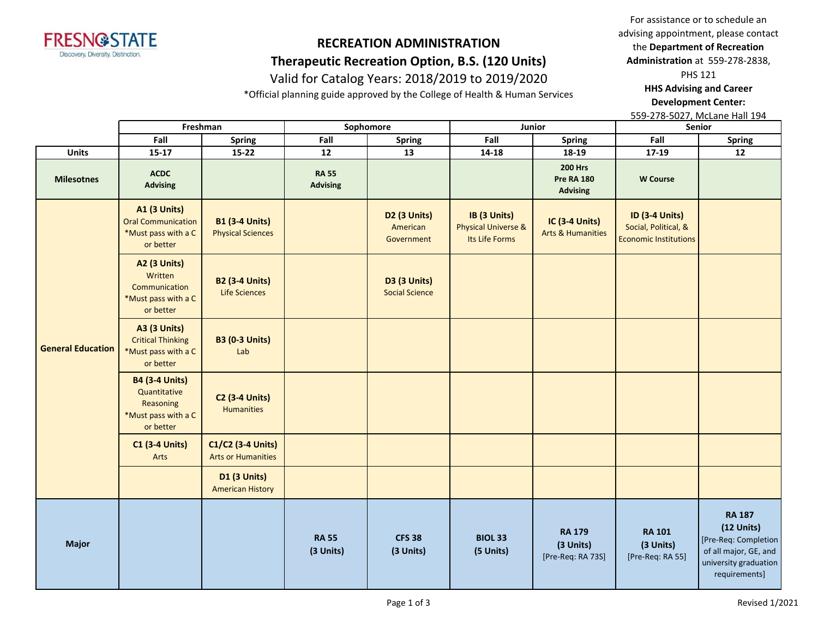

## **Therapeutic Recreation Option, B.S. (120 Units)**

## Valid for Catalog Years: 2018/2019 to 2019/2020

\*Official planning guide approved by the College of Health & Human Services

For assistance or to schedule an advising appointment, please contact the **Department of Recreation Administration** at 559-278-2838,

PHS 121

**HHS Advising and Career Development Center:** 

|                          | Freshman                                                                               |                                                   | Sophomore                       |                                              |                                                                  | Junior                                                 | Senior                                                                        |                                                                                                                          |
|--------------------------|----------------------------------------------------------------------------------------|---------------------------------------------------|---------------------------------|----------------------------------------------|------------------------------------------------------------------|--------------------------------------------------------|-------------------------------------------------------------------------------|--------------------------------------------------------------------------------------------------------------------------|
|                          | Fall                                                                                   | <b>Spring</b>                                     | Fall                            | <b>Spring</b>                                | Fall                                                             | Spring                                                 | Fall                                                                          | <b>Spring</b>                                                                                                            |
| <b>Units</b>             | $15 - 17$                                                                              | $15 - 22$                                         | 12                              | 13                                           | $14 - 18$                                                        | 18-19                                                  | 17-19                                                                         | 12                                                                                                                       |
| <b>Milesotnes</b>        | <b>ACDC</b><br><b>Advising</b>                                                         |                                                   | <b>RA 55</b><br><b>Advising</b> |                                              |                                                                  | <b>200 Hrs</b><br><b>Pre RA 180</b><br><b>Advising</b> | <b>W</b> Course                                                               |                                                                                                                          |
|                          | <b>A1 (3 Units)</b><br><b>Oral Communication</b><br>*Must pass with a C<br>or better   | <b>B1 (3-4 Units)</b><br><b>Physical Sciences</b> |                                 | D2 (3 Units)<br>American<br>Government       | IB (3 Units)<br><b>Physical Universe &amp;</b><br>Its Life Forms | IC (3-4 Units)<br><b>Arts &amp; Humanities</b>         | <b>ID (3-4 Units)</b><br>Social, Political, &<br><b>Economic Institutions</b> |                                                                                                                          |
|                          | <b>A2 (3 Units)</b><br>Written<br>Communication<br>*Must pass with a C<br>or better    | <b>B2 (3-4 Units)</b><br>Life Sciences            |                                 | <b>D3 (3 Units)</b><br><b>Social Science</b> |                                                                  |                                                        |                                                                               |                                                                                                                          |
| <b>General Education</b> | <b>A3 (3 Units)</b><br><b>Critical Thinking</b><br>*Must pass with a C<br>or better    | <b>B3 (0-3 Units)</b><br>Lab                      |                                 |                                              |                                                                  |                                                        |                                                                               |                                                                                                                          |
|                          | <b>B4 (3-4 Units)</b><br>Quantitative<br>Reasoning<br>*Must pass with a C<br>or better | <b>C2 (3-4 Units)</b><br>Humanities               |                                 |                                              |                                                                  |                                                        |                                                                               |                                                                                                                          |
|                          | <b>C1 (3-4 Units)</b><br>Arts                                                          | C1/C2 (3-4 Units)<br><b>Arts or Humanities</b>    |                                 |                                              |                                                                  |                                                        |                                                                               |                                                                                                                          |
|                          |                                                                                        | <b>D1 (3 Units)</b><br><b>American History</b>    |                                 |                                              |                                                                  |                                                        |                                                                               |                                                                                                                          |
| <b>Major</b>             |                                                                                        |                                                   | <b>RA 55</b><br>(3 Units)       | <b>CFS 38</b><br>(3 Units)                   | <b>BIOL 33</b><br>(5 Units)                                      | <b>RA 179</b><br>(3 Units)<br>[Pre-Req: RA 73S]        | <b>RA 101</b><br>(3 Units)<br>[Pre-Req: RA 55]                                | <b>RA 187</b><br>$(12$ Units)<br>[Pre-Req: Completion<br>of all major, GE, and<br>university graduation<br>requirements] |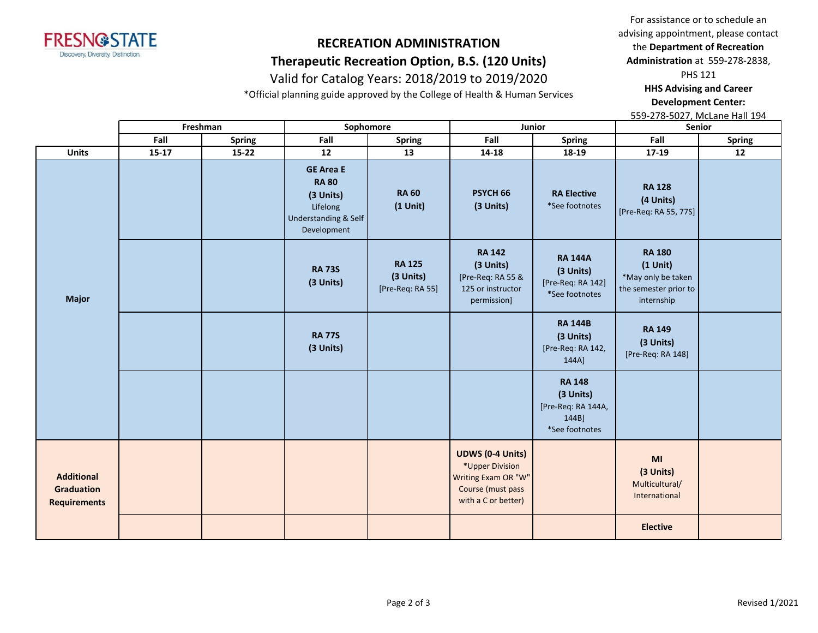

## **Therapeutic Recreation Option, B.S. (120 Units)**

## Valid for Catalog Years: 2018/2019 to 2019/2020

\*Official planning guide approved by the College of Health & Human Services

For assistance or to schedule an advising appointment, please contact the **Department of Recreation Administration** at 559-278-2838,

PHS 121

**HHS Advising and Career Development Center:** 

|                                                               |           | Freshman      |                                                                                                  | Sophomore                                      | Junior                                                                                                        |                                                                             | Senior                                                                                   |               |
|---------------------------------------------------------------|-----------|---------------|--------------------------------------------------------------------------------------------------|------------------------------------------------|---------------------------------------------------------------------------------------------------------------|-----------------------------------------------------------------------------|------------------------------------------------------------------------------------------|---------------|
|                                                               | Fall      | <b>Spring</b> | Fall                                                                                             | <b>Spring</b>                                  | Fall                                                                                                          | <b>Spring</b>                                                               | Fall                                                                                     | <b>Spring</b> |
| <b>Units</b>                                                  | $15 - 17$ | $15 - 22$     | 12                                                                                               | 13                                             | 14-18                                                                                                         | 18-19                                                                       | 17-19                                                                                    | 12            |
|                                                               |           |               | <b>GE Area E</b><br><b>RA 80</b><br>(3 Units)<br>Lifelong<br>Understanding & Self<br>Development | <b>RA 60</b><br>$(1$ Unit)                     | PSYCH <sub>66</sub><br>(3 Units)                                                                              | <b>RA Elective</b><br>*See footnotes                                        | <b>RA 128</b><br>(4 Units)<br>[Pre-Req: RA 55, 77S]                                      |               |
| <b>Major</b>                                                  |           |               | <b>RA 73S</b><br>(3 Units)                                                                       | <b>RA 125</b><br>(3 Units)<br>[Pre-Req: RA 55] | <b>RA 142</b><br>(3 Units)<br>[Pre-Req: RA 55 &<br>125 or instructor<br>permission]                           | <b>RA 144A</b><br>(3 Units)<br>[Pre-Req: RA 142]<br>*See footnotes          | <b>RA 180</b><br>$(1$ Unit)<br>*May only be taken<br>the semester prior to<br>internship |               |
|                                                               |           |               | <b>RA 77S</b><br>(3 Units)                                                                       |                                                |                                                                                                               | <b>RA 144B</b><br>(3 Units)<br>[Pre-Req: RA 142,<br>144A]                   | <b>RA 149</b><br>(3 Units)<br>[Pre-Req: RA 148]                                          |               |
|                                                               |           |               |                                                                                                  |                                                |                                                                                                               | <b>RA 148</b><br>(3 Units)<br>[Pre-Req: RA 144A,<br>144B]<br>*See footnotes |                                                                                          |               |
| <b>Additional</b><br><b>Graduation</b><br><b>Requirements</b> |           |               |                                                                                                  |                                                | <b>UDWS (0-4 Units)</b><br>*Upper Division<br>Writing Exam OR "W"<br>Course (must pass<br>with a C or better) |                                                                             | MI<br>(3 Units)<br>Multicultural/<br>International                                       |               |
|                                                               |           |               |                                                                                                  |                                                |                                                                                                               |                                                                             | <b>Elective</b>                                                                          |               |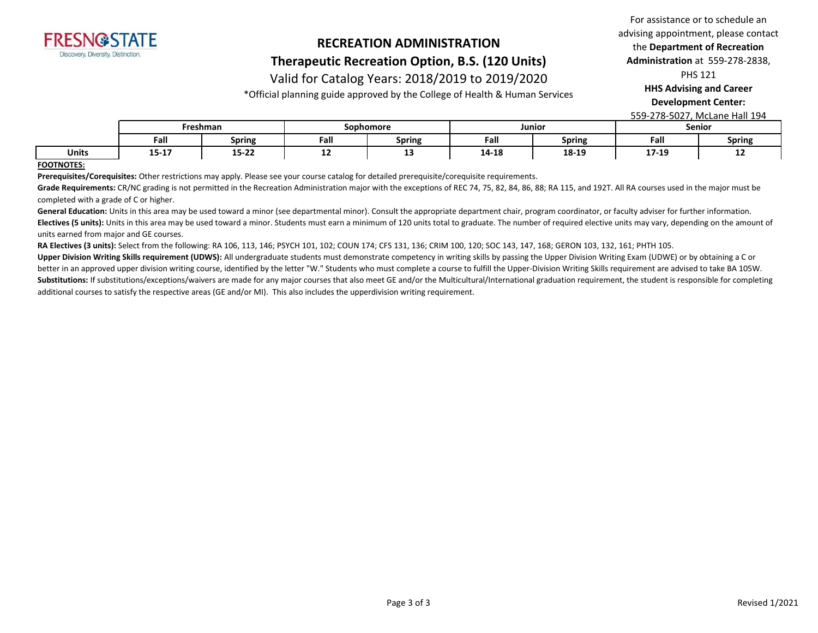

#### **Therapeutic Recreation Option, B.S. (120 Units)**

#### Valid for Catalog Years: 2018/2019 to 2019/2020

\*Official planning guide approved by the College of Health & Human Services

For assistance or to schedule an advising appointment, please contact the **Department of Recreation Administration** at 559-278-2838,

PHS 121

**HHS Advising and Career** 

**Development Center:** 

559-278-5027, McLane Hall 194

|       | <sup>-</sup> reshman |               | Sophomore |               | Junior |               | Senior |               |
|-------|----------------------|---------------|-----------|---------------|--------|---------------|--------|---------------|
|       | Fall                 | <b>Spring</b> | Fall      | <b>Spring</b> | Fall   | <b>Spring</b> | Fall   | <b>Spring</b> |
| Units | 1 F 1 7<br>15-T V    | 15-22         | --        | --            | 14-18  | 18-19         | 17-19  | --            |

#### **FOOTNOTES:**

**Prerequisites/Corequisites:** Other restrictions may apply. Please see your course catalog for detailed prerequisite/corequisite requirements.

Grade Requirements: CR/NC grading is not permitted in the Recreation Administration major with the exceptions of REC 74, 75, 82, 84, 86, 88; RA 115, and 192T. All RA courses used in the major must be completed with a grade of C or higher.

General Education: Units in this area may be used toward a minor (see departmental minor). Consult the appropriate department chair, program coordinator, or faculty adviser for further information. Electives (5 units): Units in this area may be used toward a minor. Students must earn a minimum of 120 units total to graduate. The number of required elective units may vary, depending on the amount of units earned from major and GE courses.

**RA Electives (3 units):** Select from the following: RA 106, 113, 146; PSYCH 101, 102; COUN 174; CFS 131, 136; CRIM 100, 120; SOC 143, 147, 168; GERON 103, 132, 161; PHTH 105.

Upper Division Writing Skills requirement (UDWS): All undergraduate students must demonstrate competency in writing skills by passing the Upper Division Writing Exam (UDWE) or by obtaining a C or better in an approved upper division writing course, identified by the letter "W." Students who must complete a course to fulfill the Upper-Division Writing Skills requirement are advised to take BA 105W. Substitutions: If substitutions/exceptions/waivers are made for any major courses that also meet GE and/or the Multicultural/International graduation requirement, the student is responsible for completing additional courses to satisfy the respective areas (GE and/or MI). This also includes the upperdivision writing requirement.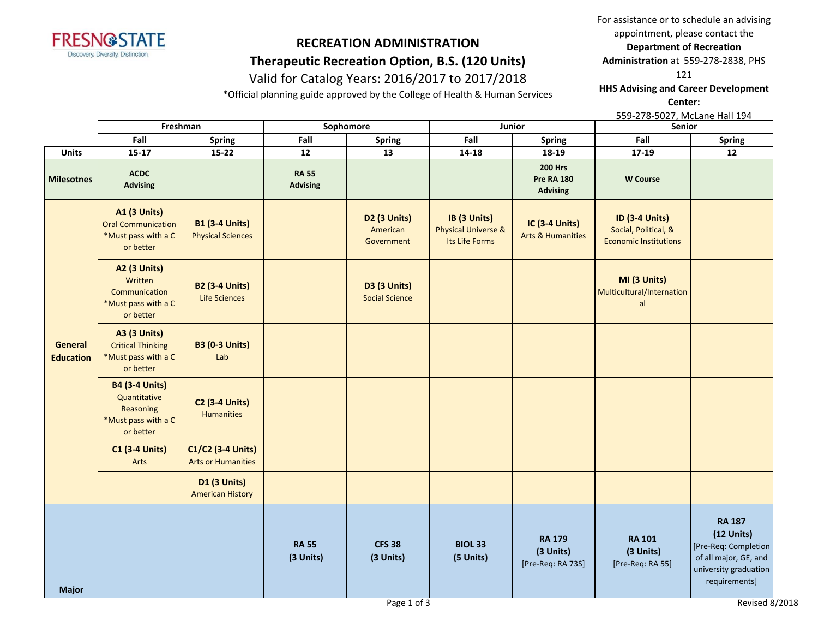

# **RECREATION ADMINISTRATION Therapeutic Recreation Option, B.S. (120 Units)**

# Valid for Catalog Years: 2016/2017 to 2017/2018

\*Official planning guide approved by the College of Health & Human Services

For assistance or to schedule an advising appointment, please contact the **Department of Recreation** 

**Administration** at 559-278-2838, PHS

121

**HHS Advising and Career Development Center:** 

|                             | Freshman                                                                               |                                                   | Sophomore                       |                                               |                                                                  | Junior                                                 | Senior                                                                        |                                                                                                                          |
|-----------------------------|----------------------------------------------------------------------------------------|---------------------------------------------------|---------------------------------|-----------------------------------------------|------------------------------------------------------------------|--------------------------------------------------------|-------------------------------------------------------------------------------|--------------------------------------------------------------------------------------------------------------------------|
|                             | Fall                                                                                   | Spring                                            | Fall                            | Spring                                        | Fall                                                             | <b>Spring</b>                                          | Fall                                                                          | <b>Spring</b>                                                                                                            |
| <b>Units</b>                | $15 - 17$                                                                              | $15 - 22$                                         | $12$                            | 13                                            | 14-18                                                            | 18-19                                                  | $17-19$                                                                       | 12                                                                                                                       |
| <b>Milesotnes</b>           | <b>ACDC</b><br><b>Advising</b>                                                         |                                                   | <b>RA 55</b><br><b>Advising</b> |                                               |                                                                  | <b>200 Hrs</b><br><b>Pre RA 180</b><br><b>Advising</b> | <b>W</b> Course                                                               |                                                                                                                          |
|                             | A1 (3 Units)<br><b>Oral Communication</b><br>*Must pass with a C<br>or better          | <b>B1 (3-4 Units)</b><br><b>Physical Sciences</b> |                                 | <b>D2 (3 Units)</b><br>American<br>Government | IB (3 Units)<br><b>Physical Universe &amp;</b><br>Its Life Forms | IC (3-4 Units)<br><b>Arts &amp; Humanities</b>         | <b>ID (3-4 Units)</b><br>Social, Political, &<br><b>Economic Institutions</b> |                                                                                                                          |
|                             | <b>A2 (3 Units)</b><br>Written<br>Communication<br>*Must pass with a C<br>or better    | <b>B2 (3-4 Units)</b><br>Life Sciences            |                                 | <b>D3 (3 Units)</b><br><b>Social Science</b>  |                                                                  |                                                        | MI (3 Units)<br>Multicultural/Internation<br>al                               |                                                                                                                          |
| General<br><b>Education</b> | <b>A3 (3 Units)</b><br><b>Critical Thinking</b><br>*Must pass with a C<br>or better    | <b>B3 (0-3 Units)</b><br>Lab                      |                                 |                                               |                                                                  |                                                        |                                                                               |                                                                                                                          |
|                             | <b>B4 (3-4 Units)</b><br>Quantitative<br>Reasoning<br>*Must pass with a C<br>or better | <b>C2 (3-4 Units)</b><br><b>Humanities</b>        |                                 |                                               |                                                                  |                                                        |                                                                               |                                                                                                                          |
|                             | <b>C1 (3-4 Units)</b><br>Arts                                                          | C1/C2 (3-4 Units)<br><b>Arts or Humanities</b>    |                                 |                                               |                                                                  |                                                        |                                                                               |                                                                                                                          |
|                             |                                                                                        | <b>D1 (3 Units)</b><br><b>American History</b>    |                                 |                                               |                                                                  |                                                        |                                                                               |                                                                                                                          |
|                             |                                                                                        |                                                   | <b>RA 55</b><br>(3 Units)       | <b>CFS 38</b><br>(3 Units)                    | <b>BIOL 33</b><br>(5 Units)                                      | <b>RA 179</b><br>(3 Units)<br>[Pre-Req: RA 73S]        | <b>RA 101</b><br>(3 Units)<br>[Pre-Req: RA 55]                                | <b>RA 187</b><br>$(12$ Units)<br>[Pre-Req: Completion<br>of all major, GE, and<br>university graduation<br>requirements] |
| <b>Major</b>                |                                                                                        |                                                   |                                 | Page 1 of 3                                   |                                                                  |                                                        |                                                                               | Revised 8/2018                                                                                                           |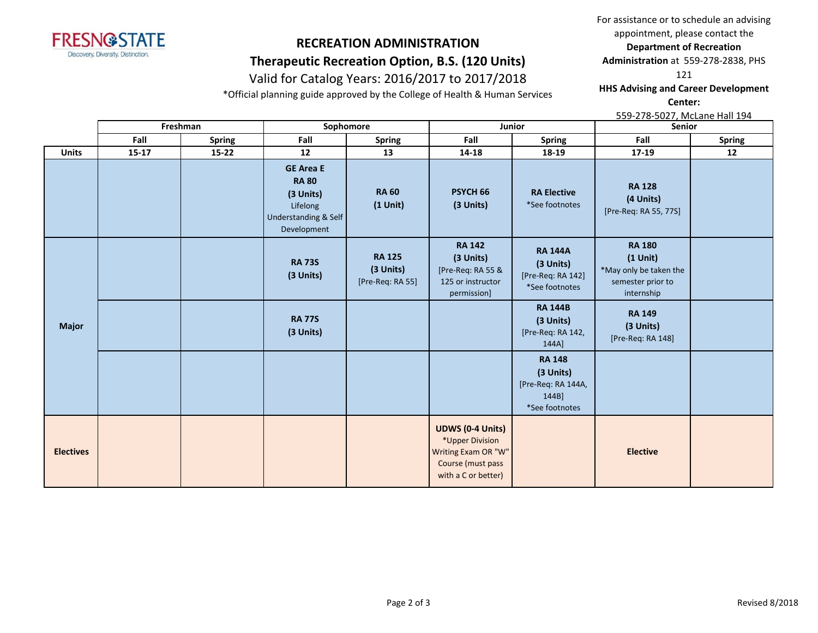

# **RECREATION ADMINISTRATION Therapeutic Recreation Option, B.S. (120 Units)**

# Valid for Catalog Years: 2016/2017 to 2017/2018

\*Official planning guide approved by the College of Health & Human Services

For assistance or to schedule an advising appointment, please contact the **Department of Recreation** 

**Administration** at 559-278-2838, PHS

121

**HHS Advising and Career Development Center:** 

|                  |           | Freshman      | Sophomore                                                                                                   |                                                |                                                                                                               | Junior                                                                      | Senior                                                                                   |               |  |
|------------------|-----------|---------------|-------------------------------------------------------------------------------------------------------------|------------------------------------------------|---------------------------------------------------------------------------------------------------------------|-----------------------------------------------------------------------------|------------------------------------------------------------------------------------------|---------------|--|
|                  | Fall      | <b>Spring</b> | Fall                                                                                                        | Spring                                         | Fall                                                                                                          | <b>Spring</b>                                                               | Fall                                                                                     | <b>Spring</b> |  |
| <b>Units</b>     | $15 - 17$ | $15 - 22$     | 12                                                                                                          | 13                                             | 14-18                                                                                                         | 18-19                                                                       | $17 - 19$                                                                                | 12            |  |
|                  |           |               | <b>GE Area E</b><br><b>RA 80</b><br>(3 Units)<br>Lifelong<br><b>Understanding &amp; Self</b><br>Development | <b>RA 60</b><br>$(1$ Unit)                     | PSYCH <sub>66</sub><br>(3 Units)                                                                              | <b>RA Elective</b><br>*See footnotes                                        | <b>RA 128</b><br>(4 Units)<br>[Pre-Req: RA 55, 77S]                                      |               |  |
|                  |           |               | <b>RA 73S</b><br>(3 Units)                                                                                  | <b>RA 125</b><br>(3 Units)<br>[Pre-Req: RA 55] | <b>RA 142</b><br>(3 Units)<br>[Pre-Req: RA 55 &<br>125 or instructor<br>permission]                           | <b>RA 144A</b><br>(3 Units)<br>[Pre-Req: RA 142]<br>*See footnotes          | <b>RA 180</b><br>$(1$ Unit)<br>*May only be taken the<br>semester prior to<br>internship |               |  |
| <b>Major</b>     |           |               | <b>RA 77S</b><br>(3 Units)                                                                                  |                                                |                                                                                                               | <b>RA 144B</b><br>(3 Units)<br>[Pre-Req: RA 142,<br>144A]                   | <b>RA 149</b><br>(3 Units)<br>[Pre-Req: RA 148]                                          |               |  |
|                  |           |               |                                                                                                             |                                                |                                                                                                               | <b>RA 148</b><br>(3 Units)<br>[Pre-Req: RA 144A,<br>144B]<br>*See footnotes |                                                                                          |               |  |
| <b>Electives</b> |           |               |                                                                                                             |                                                | <b>UDWS (0-4 Units)</b><br>*Upper Division<br>Writing Exam OR "W"<br>Course (must pass<br>with a C or better) |                                                                             | <b>Elective</b>                                                                          |               |  |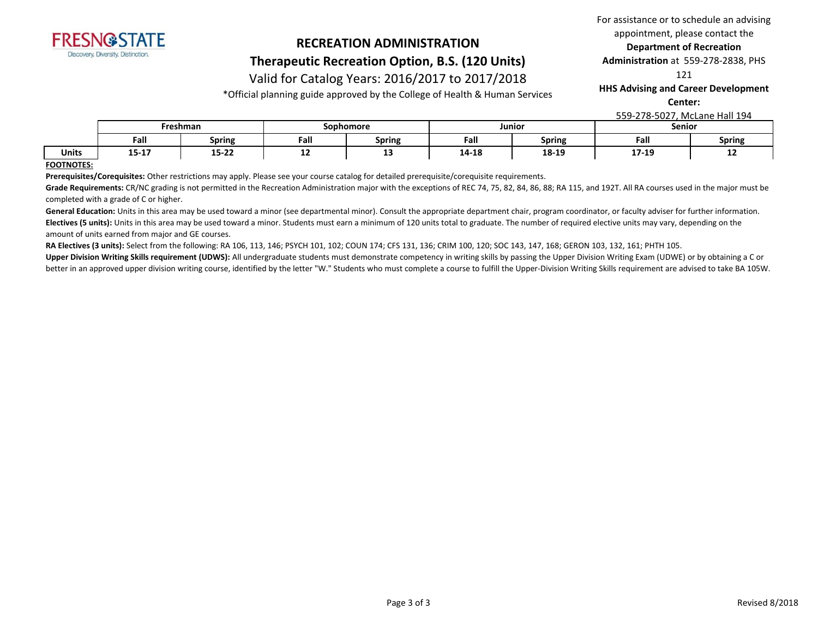

### **RECREATION ADMINISTRATION Therapeutic Recreation Option, B.S. (120 Units)**

# Valid for Catalog Years: 2016/2017 to 2017/2018

\*Official planning guide approved by the College of Health & Human Services

#### For assistance or to schedule an advising appointment, please contact the **Department of Recreation**

**Administration** at 559-278-2838, PHS

121

**HHS Advising and Career Development** 

**Center:** 

559-278-5027, McLane Hall 194

|              | Freshman    |                     | Sophomore |                      | Junior |               | Senior                                                     |               |
|--------------|-------------|---------------------|-----------|----------------------|--------|---------------|------------------------------------------------------------|---------------|
|              | Fall        | __<br><b>Spring</b> | Fall      | - -<br><b>Spring</b> | Fall   | <b>Spring</b> | Fall                                                       | <b>Spring</b> |
| <b>Units</b> | --<br>13-T. | $- - - -$<br>13-22  | --        | --                   | 14-18  | 18-19         | $\overline{\phantom{a}}$<br>$\Delta$<br><b>LI-1</b><br>--- | --            |

#### **FOOTNOTES:**

**Prerequisites/Corequisites:** Other restrictions may apply. Please see your course catalog for detailed prerequisite/corequisite requirements.

Grade Requirements: CR/NC grading is not permitted in the Recreation Administration major with the exceptions of REC 74, 75, 82, 84, 86, 88; RA 115, and 192T. All RA courses used in the major must be completed with a grade of C or higher.

General Education: Units in this area may be used toward a minor (see departmental minor). Consult the appropriate department chair, program coordinator, or faculty adviser for further information. Electives (5 units): Units in this area may be used toward a minor. Students must earn a minimum of 120 units total to graduate. The number of required elective units may vary, depending on the amount of units earned from major and GE courses.

**RA Electives (3 units):** Select from the following: RA 106, 113, 146; PSYCH 101, 102; COUN 174; CFS 131, 136; CRIM 100, 120; SOC 143, 147, 168; GERON 103, 132, 161; PHTH 105.

Upper Division Writing Skills requirement (UDWS): All undergraduate students must demonstrate competency in writing skills by passing the Upper Division Writing Exam (UDWE) or by obtaining a C or better in an approved upper division writing course, identified by the letter "W." Students who must complete a course to fulfill the Upper-Division Writing Skills requirement are advised to take BA 105W.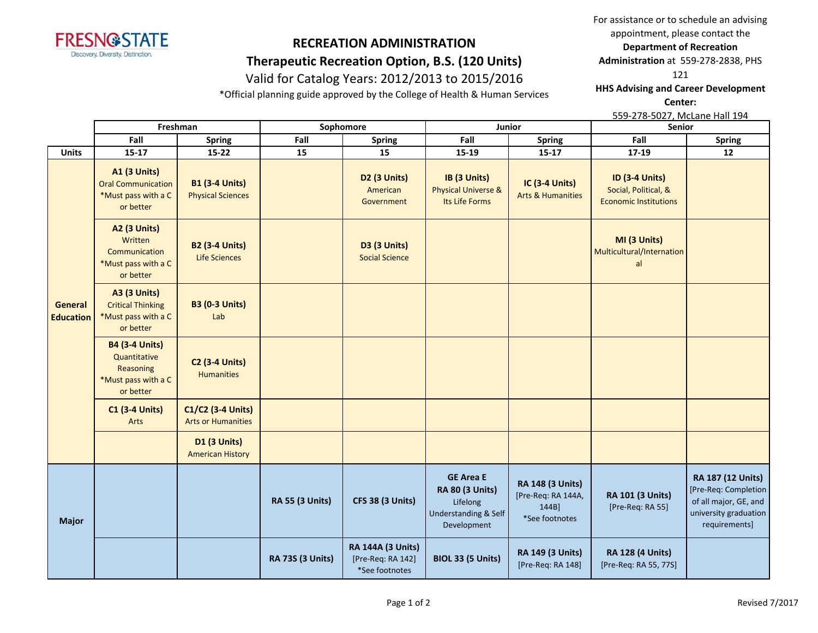

# **Therapeutic Recreation Option, B.S. (120 Units)**

# Valid for Catalog Years: 2012/2013 to 2015/2016

\*Official planning guide approved by the College of Health & Human Services

For assistance or to schedule an advising appointment, please contact the

**Department of Recreation** 

**Administration** at 559-278-2838, PHS

121

**HHS Advising and Career Development** 

**Center:** 

|                             |                                                                                        | Freshman                                          |                         | Sophomore                                                       | Junior                                                                                                   |                                                                          | Senior                                                                        |                                                                                                              |
|-----------------------------|----------------------------------------------------------------------------------------|---------------------------------------------------|-------------------------|-----------------------------------------------------------------|----------------------------------------------------------------------------------------------------------|--------------------------------------------------------------------------|-------------------------------------------------------------------------------|--------------------------------------------------------------------------------------------------------------|
|                             | Fall                                                                                   | <b>Spring</b>                                     | Fall                    | <b>Spring</b>                                                   | Fall                                                                                                     | <b>Spring</b>                                                            | Fall                                                                          | <b>Spring</b>                                                                                                |
| <b>Units</b>                | $15 - 17$                                                                              | $15 - 22$                                         | 15                      | 15                                                              | 15-19                                                                                                    | $15-17$                                                                  | $17-19$                                                                       | 12                                                                                                           |
|                             | <b>A1 (3 Units)</b><br><b>Oral Communication</b><br>*Must pass with a C<br>or better   | <b>B1 (3-4 Units)</b><br><b>Physical Sciences</b> |                         | D <sub>2</sub> (3 Units)<br>American<br>Government              | IB (3 Units)<br><b>Physical Universe &amp;</b><br>Its Life Forms                                         | IC (3-4 Units)<br><b>Arts &amp; Humanities</b>                           | <b>ID (3-4 Units)</b><br>Social, Political, &<br><b>Economic Institutions</b> |                                                                                                              |
|                             | <b>A2 (3 Units)</b><br>Written<br>Communication<br>*Must pass with a C<br>or better    | <b>B2 (3-4 Units)</b><br><b>Life Sciences</b>     |                         | D3 (3 Units)<br><b>Social Science</b>                           |                                                                                                          |                                                                          | MI (3 Units)<br>Multicultural/Internation<br>al                               |                                                                                                              |
| General<br><b>Education</b> | <b>A3 (3 Units)</b><br><b>Critical Thinking</b><br>*Must pass with a C<br>or better    | <b>B3 (0-3 Units)</b><br>Lab                      |                         |                                                                 |                                                                                                          |                                                                          |                                                                               |                                                                                                              |
|                             | <b>B4 (3-4 Units)</b><br>Quantitative<br>Reasoning<br>*Must pass with a C<br>or better | <b>C2 (3-4 Units)</b><br><b>Humanities</b>        |                         |                                                                 |                                                                                                          |                                                                          |                                                                               |                                                                                                              |
|                             | <b>C1 (3-4 Units)</b><br>Arts                                                          | C1/C2 (3-4 Units)<br><b>Arts or Humanities</b>    |                         |                                                                 |                                                                                                          |                                                                          |                                                                               |                                                                                                              |
|                             |                                                                                        | <b>D1 (3 Units)</b><br><b>American History</b>    |                         |                                                                 |                                                                                                          |                                                                          |                                                                               |                                                                                                              |
| <b>Major</b>                |                                                                                        |                                                   | <b>RA 55 (3 Units)</b>  | <b>CFS 38 (3 Units)</b>                                         | <b>GE Area E</b><br><b>RA 80 (3 Units)</b><br>Lifelong<br><b>Understanding &amp; Self</b><br>Development | <b>RA 148 (3 Units)</b><br>[Pre-Req: RA 144A,<br>144B]<br>*See footnotes | RA 101 (3 Units)<br>[Pre-Req: RA 55]                                          | RA 187 (12 Units)<br>[Pre-Req: Completion<br>of all major, GE, and<br>university graduation<br>requirements] |
|                             |                                                                                        |                                                   | <b>RA 73S (3 Units)</b> | <b>RA 144A (3 Units)</b><br>[Pre-Req: RA 142]<br>*See footnotes | <b>BIOL 33 (5 Units)</b>                                                                                 | <b>RA 149 (3 Units)</b><br>[Pre-Req: RA 148]                             | <b>RA 128 (4 Units)</b><br>[Pre-Req: RA 55, 77S]                              |                                                                                                              |